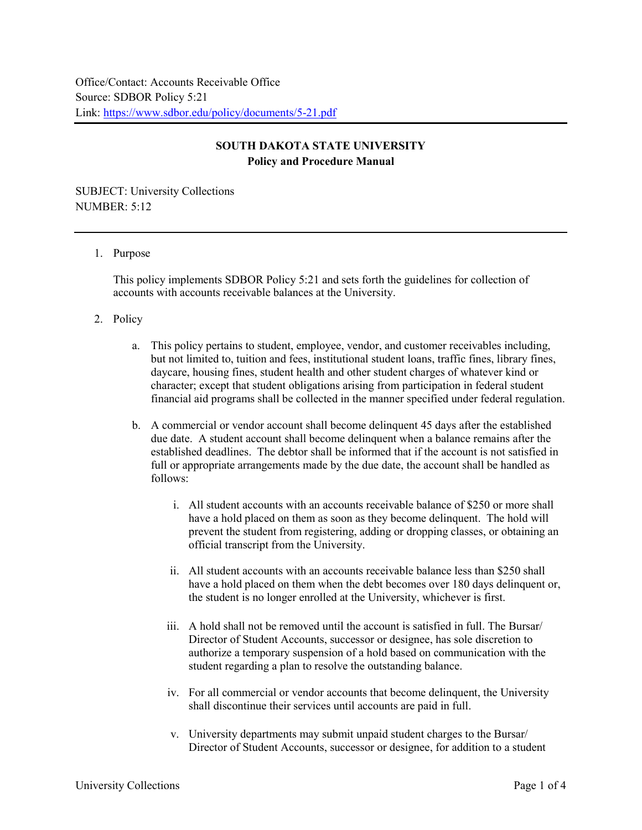## **SOUTH DAKOTA STATE UNIVERSITY Policy and Procedure Manual**

SUBJECT: University Collections NUMBER: 5:12

## 1. Purpose

This policy implements SDBOR Policy 5:21 and sets forth the guidelines for collection of accounts with accounts receivable balances at the University.

- 2. Policy
	- a. This policy pertains to student, employee, vendor, and customer receivables including, but not limited to, tuition and fees, institutional student loans, traffic fines, library fines, daycare, housing fines, student health and other student charges of whatever kind or character; except that student obligations arising from participation in federal student financial aid programs shall be collected in the manner specified under federal regulation.
	- b. A commercial or vendor account shall become delinquent 45 days after the established due date. A student account shall become delinquent when a balance remains after the established deadlines. The debtor shall be informed that if the account is not satisfied in full or appropriate arrangements made by the due date, the account shall be handled as follows:
		- i. All student accounts with an accounts receivable balance of \$250 or more shall have a hold placed on them as soon as they become delinquent. The hold will prevent the student from registering, adding or dropping classes, or obtaining an official transcript from the University.
		- ii. All student accounts with an accounts receivable balance less than \$250 shall have a hold placed on them when the debt becomes over 180 days delinquent or, the student is no longer enrolled at the University, whichever is first.
		- iii. A hold shall not be removed until the account is satisfied in full. The Bursar/ Director of Student Accounts, successor or designee, has sole discretion to authorize a temporary suspension of a hold based on communication with the student regarding a plan to resolve the outstanding balance.
		- iv. For all commercial or vendor accounts that become delinquent, the University shall discontinue their services until accounts are paid in full.
		- v. University departments may submit unpaid student charges to the Bursar/ Director of Student Accounts, successor or designee, for addition to a student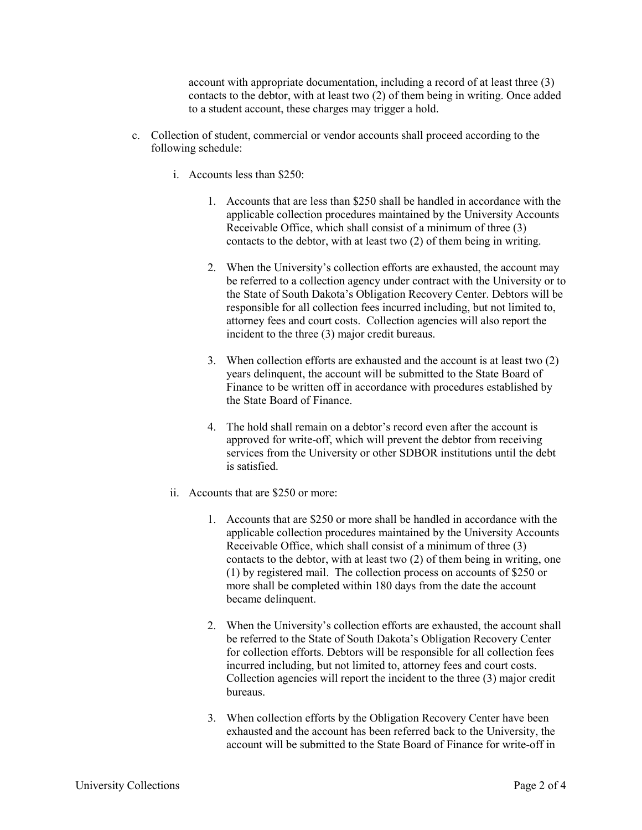account with appropriate documentation, including a record of at least three (3) contacts to the debtor, with at least two (2) of them being in writing. Once added to a student account, these charges may trigger a hold.

- c. Collection of student, commercial or vendor accounts shall proceed according to the following schedule:
	- i. Accounts less than \$250:
		- 1. Accounts that are less than \$250 shall be handled in accordance with the applicable collection procedures maintained by the University Accounts Receivable Office, which shall consist of a minimum of three (3) contacts to the debtor, with at least two (2) of them being in writing.
		- 2. When the University's collection efforts are exhausted, the account may be referred to a collection agency under contract with the University or to the State of South Dakota's Obligation Recovery Center. Debtors will be responsible for all collection fees incurred including, but not limited to, attorney fees and court costs. Collection agencies will also report the incident to the three (3) major credit bureaus.
		- 3. When collection efforts are exhausted and the account is at least two (2) years delinquent, the account will be submitted to the State Board of Finance to be written off in accordance with procedures established by the State Board of Finance.
		- 4. The hold shall remain on a debtor's record even after the account is approved for write-off, which will prevent the debtor from receiving services from the University or other SDBOR institutions until the debt is satisfied.
	- ii. Accounts that are \$250 or more:
		- 1. Accounts that are \$250 or more shall be handled in accordance with the applicable collection procedures maintained by the University Accounts Receivable Office, which shall consist of a minimum of three (3) contacts to the debtor, with at least two (2) of them being in writing, one (1) by registered mail. The collection process on accounts of \$250 or more shall be completed within 180 days from the date the account became delinquent.
		- 2. When the University's collection efforts are exhausted, the account shall be referred to the State of South Dakota's Obligation Recovery Center for collection efforts. Debtors will be responsible for all collection fees incurred including, but not limited to, attorney fees and court costs. Collection agencies will report the incident to the three (3) major credit bureaus.
		- 3. When collection efforts by the Obligation Recovery Center have been exhausted and the account has been referred back to the University, the account will be submitted to the State Board of Finance for write-off in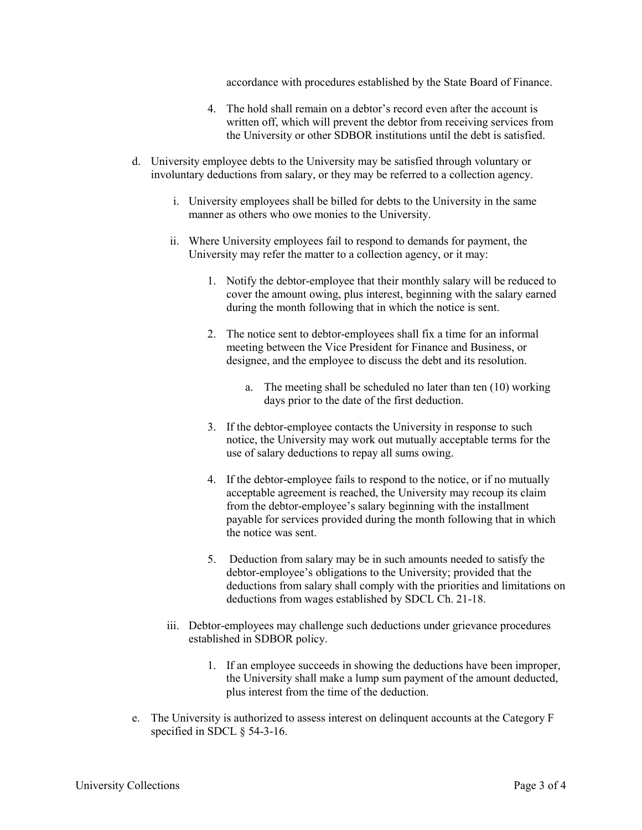accordance with procedures established by the State Board of Finance.

- 4. The hold shall remain on a debtor's record even after the account is written off, which will prevent the debtor from receiving services from the University or other SDBOR institutions until the debt is satisfied.
- d. University employee debts to the University may be satisfied through voluntary or involuntary deductions from salary, or they may be referred to a collection agency.
	- i. University employees shall be billed for debts to the University in the same manner as others who owe monies to the University.
	- ii. Where University employees fail to respond to demands for payment, the University may refer the matter to a collection agency, or it may:
		- 1. Notify the debtor-employee that their monthly salary will be reduced to cover the amount owing, plus interest, beginning with the salary earned during the month following that in which the notice is sent.
		- 2. The notice sent to debtor-employees shall fix a time for an informal meeting between the Vice President for Finance and Business, or designee, and the employee to discuss the debt and its resolution.
			- a. The meeting shall be scheduled no later than ten (10) working days prior to the date of the first deduction.
		- 3. If the debtor-employee contacts the University in response to such notice, the University may work out mutually acceptable terms for the use of salary deductions to repay all sums owing.
		- 4. If the debtor-employee fails to respond to the notice, or if no mutually acceptable agreement is reached, the University may recoup its claim from the debtor-employee's salary beginning with the installment payable for services provided during the month following that in which the notice was sent.
		- 5. Deduction from salary may be in such amounts needed to satisfy the debtor-employee's obligations to the University; provided that the deductions from salary shall comply with the priorities and limitations on deductions from wages established by SDCL Ch. 21-18.
	- iii. Debtor-employees may challenge such deductions under grievance procedures established in SDBOR policy.
		- 1. If an employee succeeds in showing the deductions have been improper, the University shall make a lump sum payment of the amount deducted, plus interest from the time of the deduction.
- e. The University is authorized to assess interest on delinquent accounts at the Category F specified in SDCL § 54-3-16.